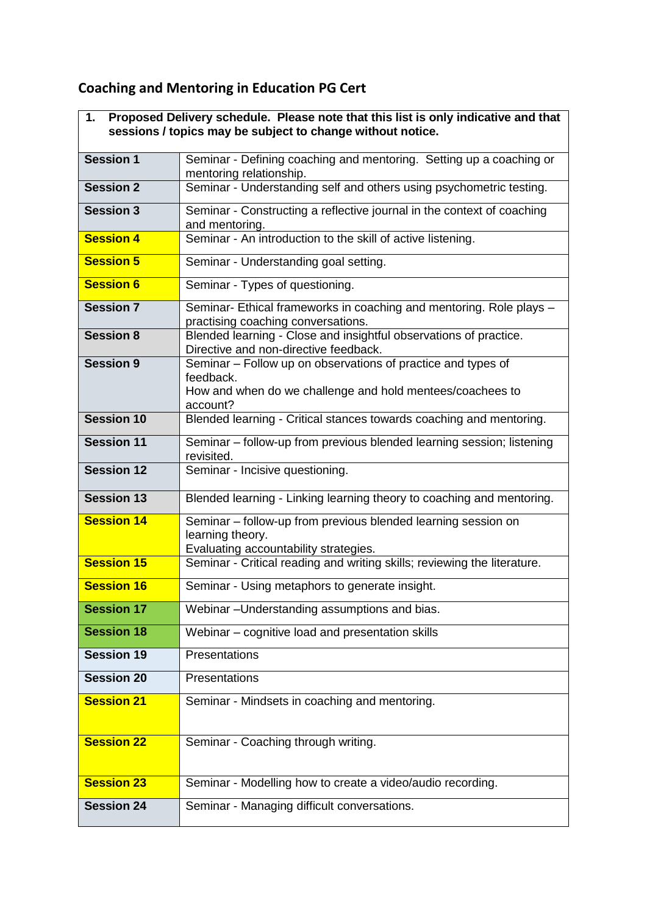## **Coaching and Mentoring in Education PG Cert**

 $\mathbf{r}$ 

| Proposed Delivery schedule. Please note that this list is only indicative and that<br>1.<br>sessions / topics may be subject to change without notice. |                                                                                                                            |
|--------------------------------------------------------------------------------------------------------------------------------------------------------|----------------------------------------------------------------------------------------------------------------------------|
| <b>Session 1</b>                                                                                                                                       | Seminar - Defining coaching and mentoring. Setting up a coaching or<br>mentoring relationship.                             |
| <b>Session 2</b>                                                                                                                                       | Seminar - Understanding self and others using psychometric testing.                                                        |
| <b>Session 3</b>                                                                                                                                       | Seminar - Constructing a reflective journal in the context of coaching<br>and mentoring.                                   |
| <b>Session 4</b>                                                                                                                                       | Seminar - An introduction to the skill of active listening.                                                                |
| <b>Session 5</b>                                                                                                                                       | Seminar - Understanding goal setting.                                                                                      |
| <b>Session 6</b>                                                                                                                                       | Seminar - Types of questioning.                                                                                            |
| <b>Session 7</b>                                                                                                                                       | Seminar- Ethical frameworks in coaching and mentoring. Role plays -<br>practising coaching conversations.                  |
| <b>Session 8</b>                                                                                                                                       | Blended learning - Close and insightful observations of practice.<br>Directive and non-directive feedback.                 |
| <b>Session 9</b>                                                                                                                                       | Seminar - Follow up on observations of practice and types of<br>feedback.                                                  |
|                                                                                                                                                        | How and when do we challenge and hold mentees/coachees to<br>account?                                                      |
| <b>Session 10</b>                                                                                                                                      | Blended learning - Critical stances towards coaching and mentoring.                                                        |
| <b>Session 11</b>                                                                                                                                      | Seminar - follow-up from previous blended learning session; listening<br>revisited.                                        |
| <b>Session 12</b>                                                                                                                                      | Seminar - Incisive questioning.                                                                                            |
| <b>Session 13</b>                                                                                                                                      | Blended learning - Linking learning theory to coaching and mentoring.                                                      |
| <b>Session 14</b>                                                                                                                                      | Seminar - follow-up from previous blended learning session on<br>learning theory.<br>Evaluating accountability strategies. |
| <b>Session 15</b>                                                                                                                                      | Seminar - Critical reading and writing skills; reviewing the literature.                                                   |
| <b>Session 16</b>                                                                                                                                      | Seminar - Using metaphors to generate insight.                                                                             |
| <b>Session 17</b>                                                                                                                                      | Webinar-Understanding assumptions and bias.                                                                                |
| <b>Session 18</b>                                                                                                                                      | Webinar - cognitive load and presentation skills                                                                           |
| <b>Session 19</b>                                                                                                                                      | Presentations                                                                                                              |
| <b>Session 20</b>                                                                                                                                      | Presentations                                                                                                              |
| <b>Session 21</b>                                                                                                                                      | Seminar - Mindsets in coaching and mentoring.                                                                              |
| <b>Session 22</b>                                                                                                                                      | Seminar - Coaching through writing.                                                                                        |
| <b>Session 23</b>                                                                                                                                      | Seminar - Modelling how to create a video/audio recording.                                                                 |
| <b>Session 24</b>                                                                                                                                      | Seminar - Managing difficult conversations.                                                                                |